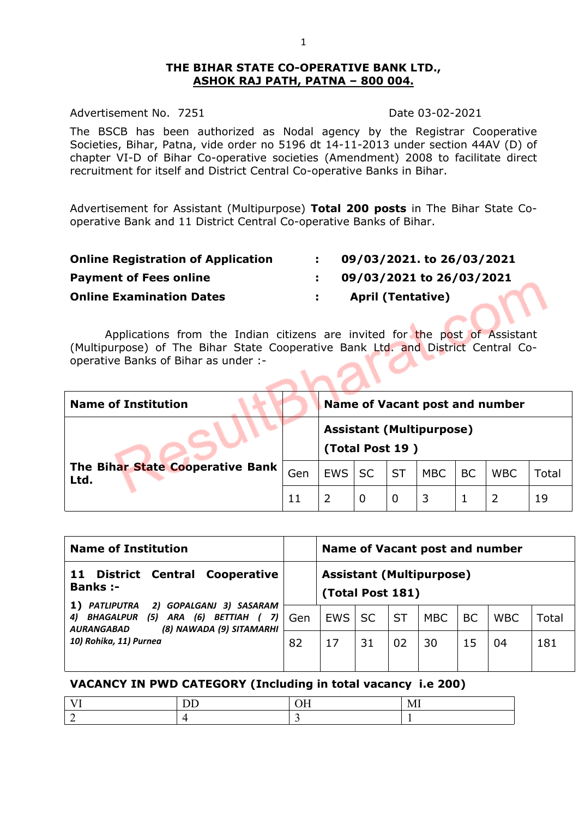#### **THE BIHAR STATE CO-OPERATIVE BANK LTD., ASHOK RAJ PATH, PATNA – 800 004.**

Advertisement No. 7251 Date 03-02-2021

The BSCB has been authorized as Nodal agency by the Registrar Cooperative Societies, Bihar, Patna, vide order no 5196 dt 14-11-2013 under section 44AV (D) of chapter VI-D of Bihar Co-operative societies (Amendment) 2008 to facilitate direct recruitment for itself and District Central Co-operative Banks in Bihar.

Advertisement for Assistant (Multipurpose) **Total 200 posts** in The Bihar State Cooperative Bank and 11 District Central Co-operative Banks of Bihar.

| 09/03/2021. to 26/03/2021 |
|---------------------------|
| 09/03/2021 to 26/03/2021  |
| <b>April (Tentative)</b>  |
|                           |

Applications from the Indian citizens are invited for the post of Assistant (Multipurpose) of The Bihar State Cooperative Bank Ltd. and District Central Cooperative Banks of Bihar as under :-  $\sim$ 

| <b>Name of Institution</b>               |     |            |                 |           |                                 | <b>Name of Vacant post and number</b> |            |       |
|------------------------------------------|-----|------------|-----------------|-----------|---------------------------------|---------------------------------------|------------|-------|
|                                          |     |            | (Total Post 19) |           | <b>Assistant (Multipurpose)</b> |                                       |            |       |
| The Bihar State Cooperative Bank<br>Ltd. | Gen | <b>EWS</b> | <b>SC</b>       | <b>ST</b> | <b>MBC</b>                      | <b>BC</b>                             | <b>WBC</b> | Total |
|                                          | 11  |            | 0               | 0         |                                 |                                       |            | 19    |

| <b>Name of Institution</b>                                                                                                                            |     | Name of Vacant post and number |           |           |                                 |           |            |       |
|-------------------------------------------------------------------------------------------------------------------------------------------------------|-----|--------------------------------|-----------|-----------|---------------------------------|-----------|------------|-------|
| <b>District Central</b><br>Cooperative<br>11<br><b>Banks:-</b>                                                                                        |     | (Total Post 181)               |           |           | <b>Assistant (Multipurpose)</b> |           |            |       |
| 2) GOPALGANJ 3) SASARAM<br><b>PATLIPUTRA</b><br>1)<br>(5) ARA (6) BETTIAH (<br>BHAGALPUR<br>7)<br>4)<br>(8) NAWADA (9) SITAMARHI<br><b>AURANGABAD</b> | Gen | <b>EWS</b>                     | <b>SC</b> | <b>ST</b> | <b>MBC</b>                      | <b>BC</b> | <b>WBC</b> | Total |
| 10) Rohika, 11) Purnea                                                                                                                                | 82  | 17                             | 31        | 02        | 30                              | 15        | 04         | 181   |
|                                                                                                                                                       |     |                                |           |           |                                 |           |            |       |

#### **VACANCY IN PWD CATEGORY (Including in total vacancy i.e 200)**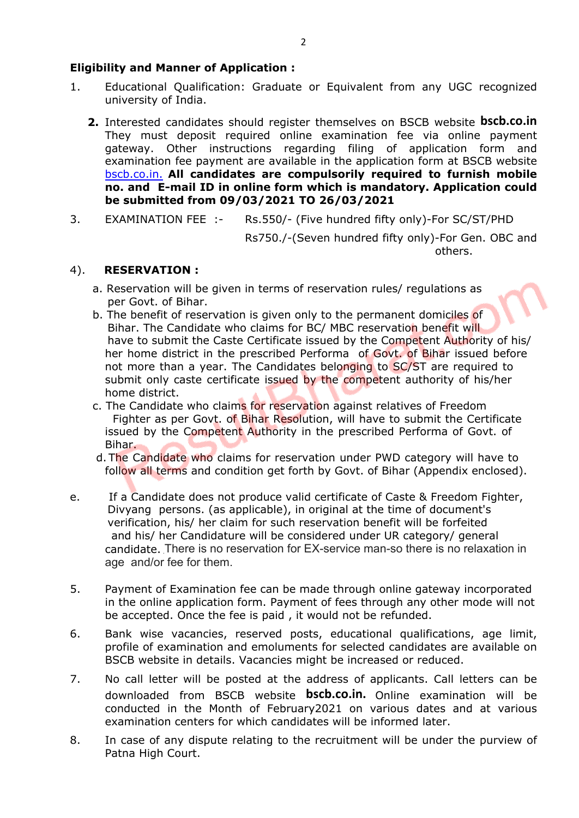## **Eligibility and Manner of Application :**

- 1. Educational Qualification: Graduate or Equivalent from any UGC recognized university of India.
	- **2.** Interested candidates should register themselves on BSCB website **bscb.co.in** They must deposit required online examination fee via online payment gateway. Other instructions regarding filing of application form and examination fee payment are available in the application form at BSCB website bscb.co.in. **All candidates are compulsorily required to furnish mobile no. and E-mail ID in online form which is mandatory. Application could be submitted from 09/03/2021 TO 26/03/2021**
- 3. EXAMINATION FEE :- Rs.550/- (Five hundred fifty only)-For SC/ST/PHD

Rs750./-(Seven hundred fifty only)-For Gen. OBC and others.

#### 4). **RESERVATION :**

- a. Reservation will be given in terms of reservation rules/ regulations as per Govt. of Bihar.
- b. The benefit of reservation is given only to the permanent domiciles of Bihar. The Candidate who claims for BC/ MBC reservation benefit will have to submit the Caste Certificate issued by the Competent Authority of his/ her home district in the prescribed Performa of Govt. of Bihar issued before not more than a year. The Candidates belonging to SC/ST are required to submit only caste certificate issued by the competent authority of his/her home district.
- c. The Candidate who claims for reservation against relatives of Freedom Fighter as per Govt. of Bihar Resolution, will have to submit the Certificate issued by the Competent Authority in the prescribed Performa of Govt. of Bihar.
- d. The Candidate who claims for reservation under PWD category will have to follow all terms and condition get forth by Govt. of Bihar (Appendix enclosed).
- e. If a Candidate does not produce valid certificate of Caste & Freedom Fighter, Divyang persons. (as applicable), in original at the time of document's verification, his/ her claim for such reservation benefit will be forfeited and his/ her Candidature will be considered under UR category/ general candidate. There is no reservation for EX-service man-so there is no relaxation in age and/or fee for them.
- 5. Payment of Examination fee can be made through online gateway incorporated in the online application form. Payment of fees through any other mode will not be accepted. Once the fee is paid , it would not be refunded.
- 6. Bank wise vacancies, reserved posts, educational qualifications, age limit, profile of examination and emoluments for selected candidates are available on BSCB website in details. Vacancies might be increased or reduced.
- 7. No call letter will be posted at the address of applicants. Call letters can be downloaded from BSCB website **bscb.co.in.** Online examination will be conducted in the Month of February2021 on various dates and at various examination centers for which candidates will be informed later.
- 8. In case of any dispute relating to the recruitment will be under the purview of Patna High Court.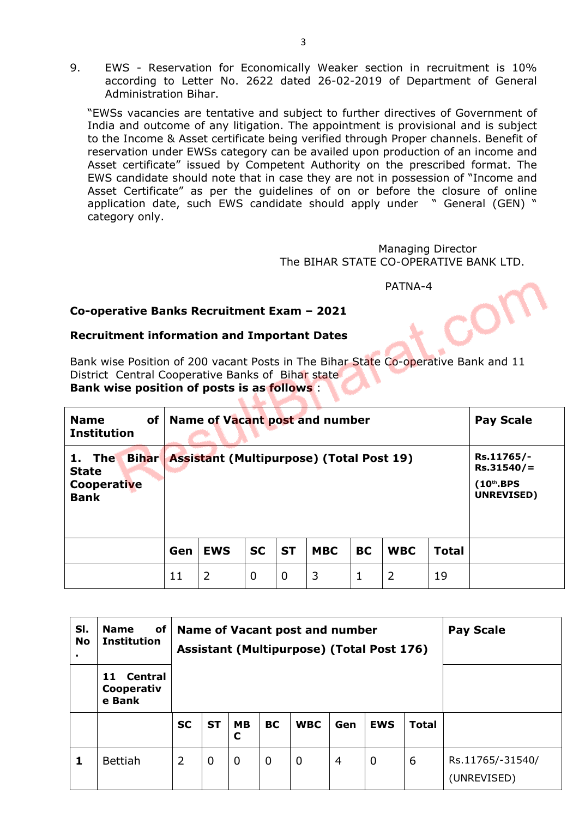9. EWS - Reservation for Economically Weaker section in recruitment is 10% according to Letter No. 2622 dated 26-02-2019 of Department of General Administration Bihar.

"EWSs vacancies are tentative and subject to further directives of Government of India and outcome of any litigation. The appointment is provisional and is subject to the Income & Asset certificate being verified through Proper channels. Benefit of reservation under EWSs category can be availed upon production of an income and Asset certificate" issued by Competent Authority on the prescribed format. The EWS candidate should note that in case they are not in possession of "Income and Asset Certificate" as per the guidelines of on or before the closure of online application date, such EWS candidate should apply under " General (GEN) " category only.

> Managing Director The BIHAR STATE CO-OPERATIVE BANK LTD.

> > PATNA-4

#### **Co-operative Banks Recruitment Exam – 2021**

#### **Recruitment information and Important Dates**

٠

Bank wise Position of 200 vacant Posts in The Bihar State Co-operative Bank and 11 District Central Cooperative Banks of Bihar state **Bank wise position of posts is as follows** :

| <b>Name</b><br>of<br><b>Institution</b>                              |     | Name of Vacant post and number                  |           |           |            |           |            |              | <b>Pay Scale</b>                                         |
|----------------------------------------------------------------------|-----|-------------------------------------------------|-----------|-----------|------------|-----------|------------|--------------|----------------------------------------------------------|
| <b>Bihar</b><br>1. The<br><b>State</b><br>Cooperative<br><b>Bank</b> |     | <b>Assistant (Multipurpose) (Total Post 19)</b> |           |           |            |           |            |              | Rs.11765/-<br>$Rs.31540/=$<br>$(10th$ .BPS<br>UNREVISED) |
|                                                                      | Gen | <b>EWS</b>                                      | <b>SC</b> | <b>ST</b> | <b>MBC</b> | <b>BC</b> | <b>WBC</b> | <b>Total</b> |                                                          |
|                                                                      | 11  | 2                                               | 0         | 0         | 3          | 1         | 2          | 19           |                                                          |

| SI.<br><b>No</b> | of<br><b>Name</b><br><b>Institution</b><br>Central<br>11<br>Cooperativ<br>e Bank |           |             |                |             | Name of Vacant post and number<br><b>Assistant (Multipurpose) (Total Post 176)</b> |                |                | <b>Pay Scale</b> |                                 |
|------------------|----------------------------------------------------------------------------------|-----------|-------------|----------------|-------------|------------------------------------------------------------------------------------|----------------|----------------|------------------|---------------------------------|
|                  |                                                                                  | <b>SC</b> | <b>ST</b>   | <b>MB</b><br>C | <b>BC</b>   | <b>WBC</b>                                                                         | Gen            | <b>EWS</b>     | <b>Total</b>     |                                 |
| 1                | Bettiah                                                                          | 2         | $\mathbf 0$ | $\mathbf 0$    | $\mathbf 0$ | $\mathbf 0$                                                                        | $\overline{4}$ | $\overline{0}$ | 6                | Rs.11765/-31540/<br>(UNREVISED) |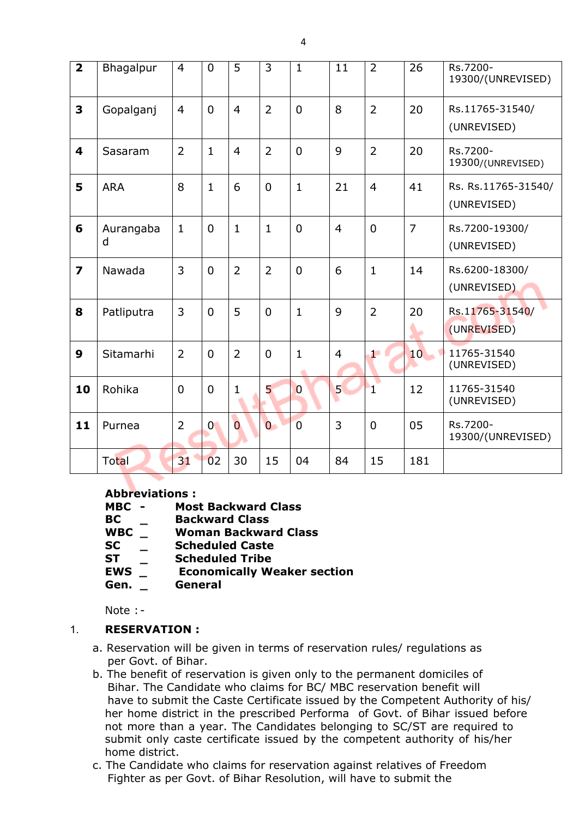| $\overline{\mathbf{2}}$ | Bhagalpur      | $\overline{4}$ | $\overline{0}$ | 5              | 3              | $\mathbf{1}$   | 11             | $\overline{2}$ | 26             | Rs.7200-<br>19300/(UNREVISED)      |
|-------------------------|----------------|----------------|----------------|----------------|----------------|----------------|----------------|----------------|----------------|------------------------------------|
| $\overline{\mathbf{3}}$ | Gopalganj      | $\overline{4}$ | $\overline{0}$ | $\overline{4}$ | $\overline{2}$ | $\overline{0}$ | 8              | $\overline{2}$ | 20             | Rs.11765-31540/<br>(UNREVISED)     |
| 4                       | Sasaram        | $\overline{2}$ | $\mathbf{1}$   | $\overline{4}$ | $\overline{2}$ | $\overline{0}$ | 9              | $\overline{2}$ | 20             | Rs.7200-<br>19300/(UNREVISED)      |
| 5                       | <b>ARA</b>     | 8              | $\mathbf{1}$   | 6              | $\mathbf 0$    | $\mathbf{1}$   | 21             | $\overline{4}$ | 41             | Rs. Rs.11765-31540/<br>(UNREVISED) |
| 6                       | Aurangaba<br>d | $\mathbf{1}$   | $\mathbf 0$    | $\mathbf{1}$   | $\mathbf{1}$   | $\overline{0}$ | $\overline{4}$ | $\mathbf 0$    | $\overline{7}$ | Rs.7200-19300/<br>(UNREVISED)      |
| $\overline{z}$          | Nawada         | $\overline{3}$ | $\overline{0}$ | $\overline{2}$ | $\overline{2}$ | $\overline{0}$ | 6              | $\mathbf{1}$   | 14             | Rs.6200-18300/<br>(UNREVISED)      |
| 8                       | Patliputra     | $\overline{3}$ | $\overline{0}$ | 5              | $\mathbf 0$    | $\mathbf{1}$   | 9              | $\overline{2}$ | 20             | Rs.11765-31540/<br>(UNREVISED)     |
| 9                       | Sitamarhi      | $\overline{2}$ | $\mathbf 0$    | $\overline{2}$ | $\mathbf 0$    | $\mathbf{1}$   | $\overline{4}$ | ه م            | 10             | 11765-31540<br>(UNREVISED)         |
| 10                      | Rohika         | $\mathbf 0$    | $\mathbf 0$    | $\mathbf{1}$   | 5              | $\overline{0}$ | 5              | $\mathbf{I}$   | 12             | 11765-31540<br>(UNREVISED)         |
| 11                      | Purnea         | $\overline{2}$ | $\overline{0}$ | $\overline{0}$ | $\overline{0}$ | $\overline{0}$ | $\overline{3}$ | $\mathbf 0$    | 05             | Rs.7200-<br>19300/(UNREVISED)      |
|                         | Total          | 31             | 02             | 30             | 15             | 04             | 84             | 15             | 181            |                                    |

## **Abbreviations :**

- **MBC - Most Backward Class**
- **BC \_ Backward Class**
- **WBC \_ Woman Backward Class**
- **SC \_ Scheduled Caste**
- 
- **ST \_ Scheduled Tribe Economically Weaker section**
- **Gen. \_ General**

Note : -

## 1. **RESERVATION :**

- a. Reservation will be given in terms of reservation rules/ regulations as per Govt. of Bihar.
- b. The benefit of reservation is given only to the permanent domiciles of Bihar. The Candidate who claims for BC/ MBC reservation benefit will have to submit the Caste Certificate issued by the Competent Authority of his/ her home district in the prescribed Performa of Govt. of Bihar issued before not more than a year. The Candidates belonging to SC/ST are required to submit only caste certificate issued by the competent authority of his/her home district.
- c. The Candidate who claims for reservation against relatives of Freedom Fighter as per Govt. of Bihar Resolution, will have to submit the

4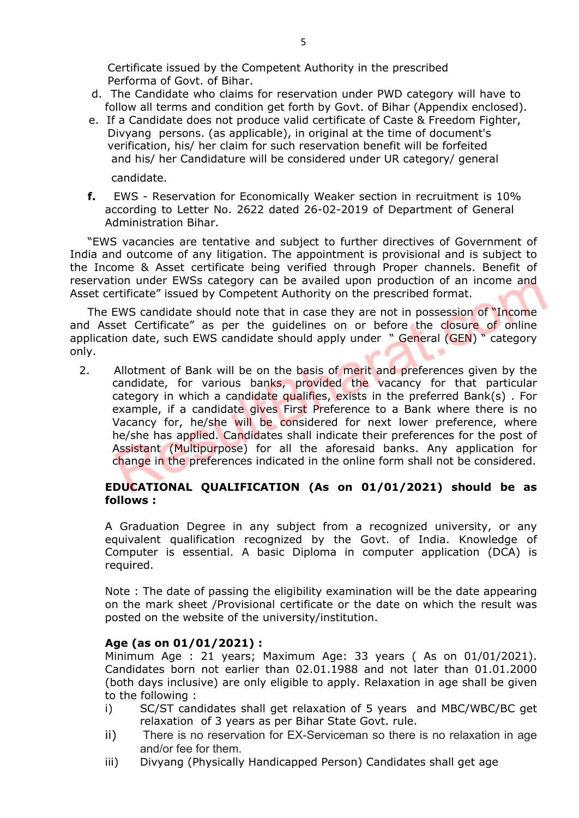Certificate issued by the Competent Authority in the prescribed Performa of Govt. of Bihar.

- d. The Candidate who claims for reservation under PWD category will have to follow all terms and condition get forth by Govt. of Bihar (Appendix enclosed).
- e. If a Candidate does not produce valid certificate of Caste & Freedom Fighter, Divyang persons. (as applicable), in original at the time of document's verification, his/ her claim for such reservation benefit will be forfeited and his/ her Candidature will be considered under UR category/ general candidate.
- **f.** EWS Reservation for Economically Weaker section in recruitment is 10% according to Letter No. 2622 dated 26-02-2019 of Department of General Administration Bihar.

"EWS vacancies are tentative and subject to further directives of Government of India and outcome of any litigation. The appointment is provisional and is subject to the Income & Asset certificate being verified through Proper channels. Benefit of reservation under EWSs category can be availed upon production of an income and Asset certificate" issued by Competent Authority on the prescribed format.

The EWS candidate should note that in case they are not in possession of "Income and Asset Certificate" as per the guidelines on or before the closure of online application date, such EWS candidate should apply under " General (GEN) " category only.

2. Allotment of Bank will be on the basis of merit and preferences given by the candidate, for various banks, provided the vacancy for that particular category in which a candidate qualifies, exists in the preferred Bank(s). For example, if a candidate gives First Preference to a Bank where there is no Vacancy for, he/she will be considered for next lower preference, where he/she has applied. Candidates shall indicate their preferences for the post of Assistant (Multipurpose) for all the aforesaid banks. Any application for change in the preferences indicated in the online form shall not be considered.

## **EDUCATIONAL QUALIFICATION (As on 01/01/2021) should be as follows :**

A Graduation Degree in any subject from a recognized university, or any equivalent qualification recognized by the Govt. of India. Knowledge of Computer is essential. A basic Diploma in computer application (DCA) is required.

Note : The date of passing the eligibility examination will be the date appearing on the mark sheet /Provisional certificate or the date on which the result was posted on the website of the university/institution.

## **Age (as on 01/01/2021) :**

Minimum Age : 21 years; Maximum Age: 33 years ( As on 01/01/2021). Candidates born not earlier than 02.01.1988 and not later than 01.01.2000 (both days inclusive) are only eligible to apply. Relaxation in age shall be given to the following :

- i) SC/ST candidates shall get relaxation of 5 years and MBC/WBC/BC get relaxation of 3 years as per Bihar State Govt. rule.
- ii) There is no reservation for EX-Serviceman so there is no relaxation in age and/or fee for them.
- iii) Divyang (Physically Handicapped Person) Candidates shall get age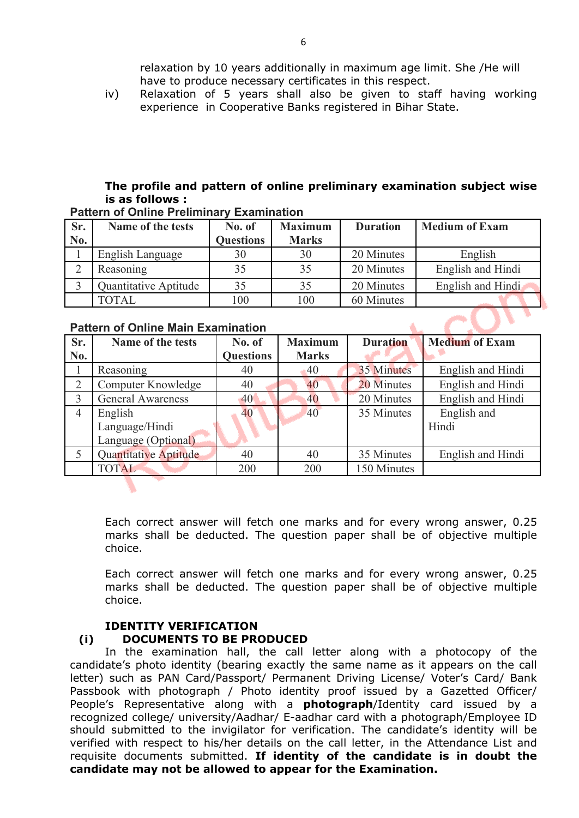relaxation by 10 years additionally in maximum age limit. She /He will have to produce necessary certificates in this respect.

iv) Relaxation of 5 years shall also be given to staff having working experience in Cooperative Banks registered in Bihar State.

## **The profile and pattern of online preliminary examination subject wise is as follows :**

| Sr. | Name of the tests       | No. of    | <b>Maximum</b> | <b>Duration</b> | <b>Medium of Exam</b> |  |  |  |  |  |  |  |
|-----|-------------------------|-----------|----------------|-----------------|-----------------------|--|--|--|--|--|--|--|
| No. |                         | Questions | <b>Marks</b>   |                 |                       |  |  |  |  |  |  |  |
|     | <b>English Language</b> | 30        | 30             | 20 Minutes      | English               |  |  |  |  |  |  |  |
|     | Reasoning               |           | 35             | 20 Minutes      | English and Hindi     |  |  |  |  |  |  |  |
|     | Quantitative Aptitude   |           | 35             | 20 Minutes      | English and Hindi     |  |  |  |  |  |  |  |
|     | <b>TOTAL</b>            | 100       | 100            | 60 Minutes      |                       |  |  |  |  |  |  |  |

#### **Pattern of Online Preliminary Examination**

#### **Pattern of Online Main Examination**

| Sr. | Name of the tests        | No. of           | <b>Maximum</b> | <b>Duration</b> | <b>Medium of Exam</b> |  |
|-----|--------------------------|------------------|----------------|-----------------|-----------------------|--|
| No. |                          | <b>Questions</b> | <b>Marks</b>   |                 |                       |  |
|     | Reasoning                | 40               | 40             | 35 Minutes      | English and Hindi     |  |
|     | Computer Knowledge       | 40               | 40             | 20 Minutes      | English and Hindi     |  |
|     | <b>General Awareness</b> | 40               | 40             | 20 Minutes      | English and Hindi     |  |
| 4   | English                  | 40               | 40             | 35 Minutes      | English and           |  |
|     | Language/Hindi           |                  |                |                 | Hindi                 |  |
|     | Language (Optional)      |                  |                |                 |                       |  |
|     | Quantitative Aptitude    | 40               | 40             | 35 Minutes      | English and Hindi     |  |
|     | <b>TOTAL</b>             | 200              | 200            | 150 Minutes     |                       |  |

Each correct answer will fetch one marks and for every wrong answer, 0.25 marks shall be deducted. The question paper shall be of objective multiple choice.

Each correct answer will fetch one marks and for every wrong answer, 0.25 marks shall be deducted. The question paper shall be of objective multiple choice.

#### **IDENTITY VERIFICATION**

#### **(i) DOCUMENTS TO BE PRODUCED**

In the examination hall, the call letter along with a photocopy of the candidate's photo identity (bearing exactly the same name as it appears on the call letter) such as PAN Card/Passport/ Permanent Driving License/ Voter's Card/ Bank Passbook with photograph / Photo identity proof issued by a Gazetted Officer/ People's Representative along with a **photograph**/Identity card issued by a recognized college/ university/Aadhar/ E-aadhar card with a photograph/Employee ID should submitted to the invigilator for verification. The candidate's identity will be verified with respect to his/her details on the call letter, in the Attendance List and requisite documents submitted. **If identity of the candidate is in doubt the candidate may not be allowed to appear for the Examination.**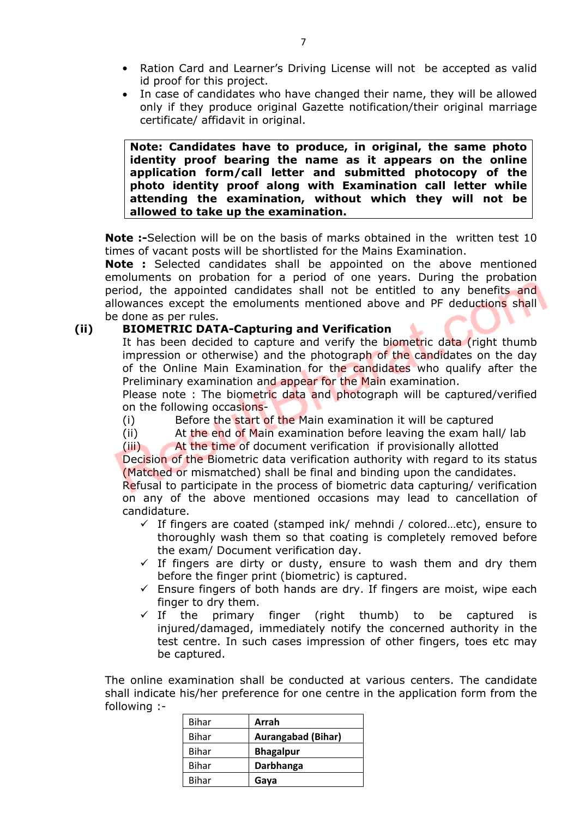- Ration Card and Learner's Driving License will not be accepted as valid id proof for this project.
- In case of candidates who have changed their name, they will be allowed only if they produce original Gazette notification/their original marriage certificate/ affidavit in original.

**Note: Candidates have to produce, in original, the same photo identity proof bearing the name as it appears on the online application form/call letter and submitted photocopy of the photo identity proof along with Examination call letter while attending the examination, without which they will not be allowed to take up the examination.**

**Note :-**Selection will be on the basis of marks obtained in the written test 10 times of vacant posts will be shortlisted for the Mains Examination.

**Note :** Selected candidates shall be appointed on the above mentioned emoluments on probation for a period of one years. During the probation period, the appointed candidates shall not be entitled to any benefits and allowances except the emoluments mentioned above and PF deductions shall be done as per rules.

#### **(ii) BIOMETRIC DATA-Capturing and Verification**

It has been decided to capture and verify the biometric data (right thumb impression or otherwise) and the photograph of the candidates on the day of the Online Main Examination for the candidates who qualify after the Preliminary examination and appear for the Main examination.

Please note : The biometric data and photograph will be captured/verified on the following occasions-

- (i) Before the start of the Main examination it will be captured
- (ii) At the end of Main examination before leaving the exam hall/ lab

(iii) At the time of document verification if provisionally allotted

Decision of the Biometric data verification authority with regard to its status (Matched or mismatched) shall be final and binding upon the candidates.

Refusal to participate in the process of biometric data capturing/ verification on any of the above mentioned occasions may lead to cancellation of candidature.

- $\checkmark$  If fingers are coated (stamped ink/ mehndi / colored...etc), ensure to thoroughly wash them so that coating is completely removed before the exam/ Document verification day.
- $\checkmark$  If fingers are dirty or dusty, ensure to wash them and dry them before the finger print (biometric) is captured.
- $\checkmark$  Ensure fingers of both hands are dry. If fingers are moist, wipe each finger to dry them.
- $\checkmark$  If the primary finger (right thumb) to be captured is injured/damaged, immediately notify the concerned authority in the test centre. In such cases impression of other fingers, toes etc may be captured.

The online examination shall be conducted at various centers. The candidate shall indicate his/her preference for one centre in the application form from the following :-

| Bihar | Arrah                     |
|-------|---------------------------|
| Bihar | <b>Aurangabad (Bihar)</b> |
| Bihar | <b>Bhagalpur</b>          |
| Bihar | Darbhanga                 |
| Bihar | Gaya                      |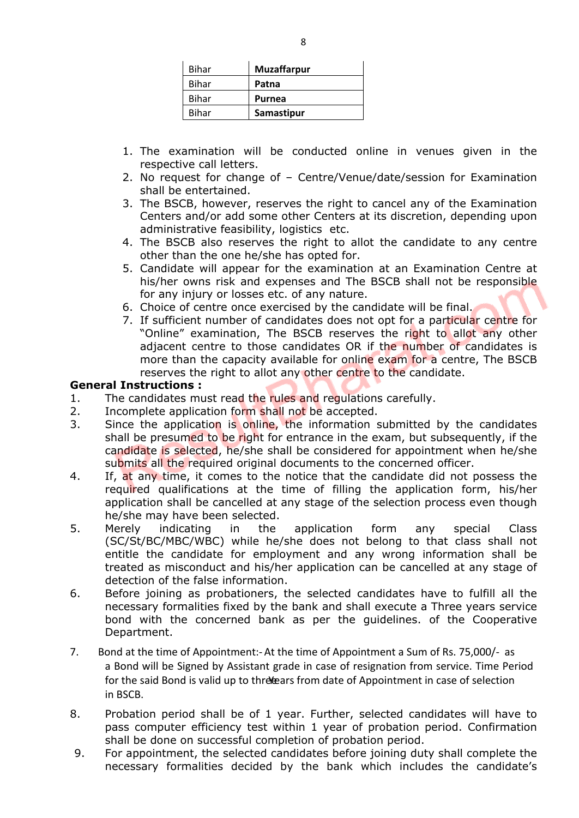| Bihar | <b>Muzaffarpur</b> |  |
|-------|--------------------|--|
| Bihar | Patna              |  |
| Bihar | <b>Purnea</b>      |  |
| Bihar | Samastipur         |  |

- 1. The examination will be conducted online in venues given in the respective call letters.
- 2. No request for change of Centre/Venue/date/session for Examination shall be entertained.
- 3. The BSCB, however, reserves the right to cancel any of the Examination Centers and/or add some other Centers at its discretion, depending upon administrative feasibility, logistics etc.
- 4. The BSCB also reserves the right to allot the candidate to any centre other than the one he/she has opted for.
- 5. Candidate will appear for the examination at an Examination Centre at his/her owns risk and expenses and The BSCB shall not be responsible for any injury or losses etc. of any nature.
- 6. Choice of centre once exercised by the candidate will be final.
- 7. If sufficient number of candidates does not opt for a particular centre for "Online" examination, The BSCB reserves the right to allot any other adjacent centre to those candidates OR if the number of candidates is more than the capacity available for online exam for a centre, The BSCB reserves the right to allot any other centre to the candidate.

#### **General Instructions :**

- 1. The candidates must read the rules and regulations carefully.
- 2. Incomplete application form shall not be accepted.
- 3. Since the application is online, the information submitted by the candidates shall be presumed to be right for entrance in the exam, but subsequently, if the candidate is selected, he/she shall be considered for appointment when he/she submits all the required original documents to the concerned officer.
- 4. If, at any time, it comes to the notice that the candidate did not possess the required qualifications at the time of filling the application form, his/her application shall be cancelled at any stage of the selection process even though he/she may have been selected.
- 5. Merely indicating in the application form any special Class (SC/St/BC/MBC/WBC) while he/she does not belong to that class shall not entitle the candidate for employment and any wrong information shall be treated as misconduct and his/her application can be cancelled at any stage of detection of the false information.
- 6. Before joining as probationers, the selected candidates have to fulfill all the necessary formalities fixed by the bank and shall execute a Three years service bond with the concerned bank as per the guidelines. of the Cooperative Department.
- 7.Bond at the time of Appointment:-At the time of Appointment a Sum of Rs. 75,000/- as a Bond will be Signed by Assistant grade in case of resignation from service. Time Period for the said Bond is valid up to three ears from date of Appointment in case of selection in BSCB.
- 8. Probation period shall be of 1 year. Further, selected candidates will have to pass computer efficiency test within 1 year of probation period. Confirmation shall be done on successful completion of probation period.
- 9. For appointment, the selected candidates before joining duty shall complete the necessary formalities decided by the bank which includes the candidate's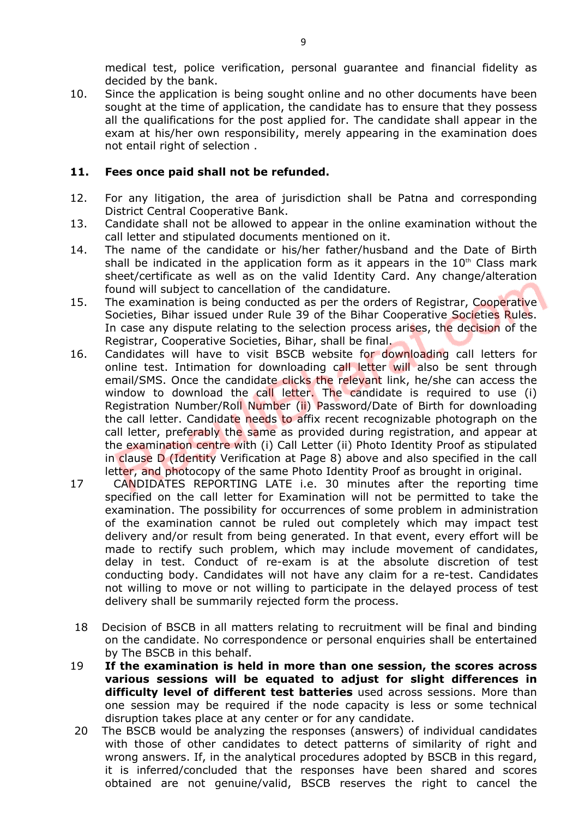medical test, police verification, personal guarantee and financial fidelity as decided by the bank.

10. Since the application is being sought online and no other documents have been sought at the time of application, the candidate has to ensure that they possess all the qualifications for the post applied for. The candidate shall appear in the exam at his/her own responsibility, merely appearing in the examination does not entail right of selection .

#### **11. Fees once paid shall not be refunded.**

- 12. For any litigation, the area of jurisdiction shall be Patna and corresponding District Central Cooperative Bank.
- 13. Candidate shall not be allowed to appear in the online examination without the call letter and stipulated documents mentioned on it.
- 14. The name of the candidate or his/her father/husband and the Date of Birth shall be indicated in the application form as it appears in the  $10<sup>th</sup>$  Class mark sheet/certificate as well as on the valid Identity Card. Any change/alteration found will subject to cancellation of the candidature.
- 15. The examination is being conducted as per the orders of Registrar, Cooperative Societies, Bihar issued under Rule 39 of the Bihar Cooperative Societies Rules. In case any dispute relating to the selection process arises, the decision of the Registrar, Cooperative Societies, Bihar, shall be final.
- 16. Candidates will have to visit BSCB website for downloading call letters for online test. Intimation for downloading call letter will also be sent through email/SMS. Once the candidate clicks the relevant link, he/she can access the window to download the call letter. The candidate is required to use (i) Registration Number/Roll Number (ii) Password/Date of Birth for downloading the call letter. Candidate needs to affix recent recognizable photograph on the call letter, preferably the same as provided during registration, and appear at the examination centre with (i) Call Letter (ii) Photo Identity Proof as stipulated in clause D (Identity Verification at Page 8) above and also specified in the call letter, and photocopy of the same Photo Identity Proof as brought in original.
- 17 CANDIDATES REPORTING LATE i.e. 30 minutes after the reporting time specified on the call letter for Examination will not be permitted to take the examination. The possibility for occurrences of some problem in administration of the examination cannot be ruled out completely which may impact test delivery and/or result from being generated. In that event, every effort will be made to rectify such problem, which may include movement of candidates, delay in test. Conduct of re-exam is at the absolute discretion of test conducting body. Candidates will not have any claim for a re-test. Candidates not willing to move or not willing to participate in the delayed process of test delivery shall be summarily rejected form the process.
- 18 Decision of BSCB in all matters relating to recruitment will be final and binding on the candidate. No correspondence or personal enquiries shall be entertained by The BSCB in this behalf.
- 19 **If the examination is held in more than one session, the scores across various sessions will be equated to adjust for slight differences in difficulty level of different test batteries** used across sessions. More than one session may be required if the node capacity is less or some technical disruption takes place at any center or for any candidate.
- 20 The BSCB would be analyzing the responses (answers) of individual candidates with those of other candidates to detect patterns of similarity of right and wrong answers. If, in the analytical procedures adopted by BSCB in this regard, it is inferred/concluded that the responses have been shared and scores obtained are not genuine/valid, BSCB reserves the right to cancel the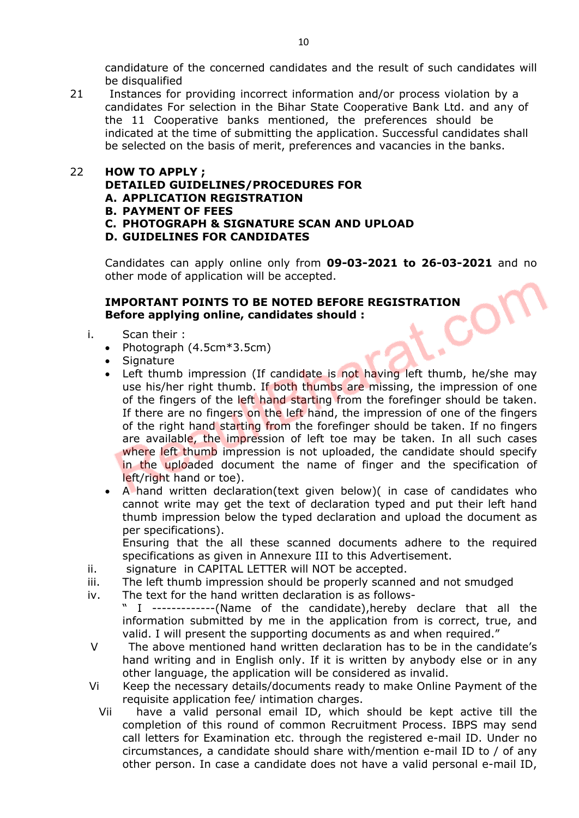candidature of the concerned candidates and the result of such candidates will be disqualified

21 Instances for providing incorrect information and/or process violation by a candidates For selection in the Bihar State Cooperative Bank Ltd. and any of the 11 Cooperative banks mentioned, the preferences should be indicated at the time of submitting the application. Successful candidates shall be selected on the basis of merit, preferences and vacancies in the banks.

#### 22 **HOW TO APPLY ;**

#### **DETAILED GUIDELINES/PROCEDURES FOR**

- **A. APPLICATION REGISTRATION**
- **B. PAYMENT OF FEES**
- **C. PHOTOGRAPH & SIGNATURE SCAN AND UPLOAD**

#### **D. GUIDELINES FOR CANDIDATES**

Candidates can apply online only from **09-03-2021 to 26-03-2021** and no other mode of application will be accepted.

#### **IMPORTANT POINTS TO BE NOTED BEFORE REGISTRATION Before applying online, candidates should :**

- i. Scan their :
	- Photograph  $(4.5cm*3.5cm)$
	- Signature
	- Left thumb impression (If candidate is not having left thumb, he/she may use his/her right thumb. If both thumbs are missing, the impression of one of the fingers of the left hand starting from the forefinger should be taken. If there are no fingers on the left hand, the impression of one of the fingers of the right hand starting from the forefinger should be taken. If no fingers are available, the impression of left toe may be taken. In all such cases where left thumb impression is not uploaded, the candidate should specify in the uploaded document the name of finger and the specification of left/right hand or toe).
	- A hand written declaration(text given below)( in case of candidates who cannot write may get the text of declaration typed and put their left hand thumb impression below the typed declaration and upload the document as per specifications).

Ensuring that the all these scanned documents adhere to the required specifications as given in Annexure III to this Advertisement.

- ii. signature in CAPITAL LETTER will NOT be accepted.
- iii. The left thumb impression should be properly scanned and not smudged
- iv. The text for the hand written declaration is as follows-
- I -------------(Name of the candidate), hereby declare that all the information submitted by me in the application from is correct, true, and valid. I will present the supporting documents as and when required."
- V The above mentioned hand written declaration has to be in the candidate's hand writing and in English only. If it is written by anybody else or in any other language, the application will be considered as invalid.
- Vi Keep the necessary details/documents ready to make Online Payment of the requisite application fee/ intimation charges.
	- Vii have a valid personal email ID, which should be kept active till the completion of this round of common Recruitment Process. IBPS may send call letters for Examination etc. through the registered e-mail ID. Under no circumstances, a candidate should share with/mention e-mail ID to / of any other person. In case a candidate does not have a valid personal e-mail ID,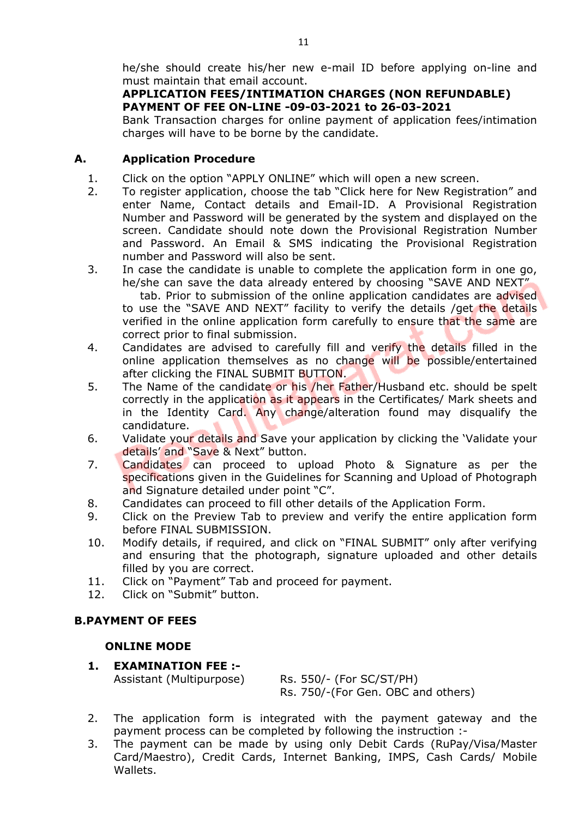## **APPLICATION FEES/INTIMATION CHARGES (NON REFUNDABLE) PAYMENT OF FEE ON-LINE -09-03-2021 to 26-03-2021**

Bank Transaction charges for online payment of application fees/intimation charges will have to be borne by the candidate.

## **A. Application Procedure**

- 1. Click on the option "APPLY ONLINE" which will open a new screen.
- 2. To register application, choose the tab "Click here for New Registration" and enter Name, Contact details and Email-ID. A Provisional Registration Number and Password will be generated by the system and displayed on the screen. Candidate should note down the Provisional Registration Number and Password. An Email & SMS indicating the Provisional Registration number and Password will also be sent.
- 3. In case the candidate is unable to complete the application form in one go, he/she can save the data already entered by choosing "SAVE AND NEXT" tab. Prior to submission of the online application candidates are advised to use the "SAVE AND NEXT" facility to verify the details /get the details verified in the online application form carefully to ensure that the same are correct prior to final submission.
- 4. Candidates are advised to carefully fill and verify the details filled in the online application themselves as no change will be possible/entertained after clicking the FINAL SUBMIT BUTTON.
- 5. The Name of the candidate or his /her Father/Husband etc. should be spelt correctly in the application as it appears in the Certificates/ Mark sheets and in the Identity Card. Any change/alteration found may disqualify the candidature.
- 6. Validate your details and Save your application by clicking the 'Validate your details' and "Save & Next" button.
- 7. Candidates can proceed to upload Photo & Signature as per the specifications given in the Guidelines for Scanning and Upload of Photograph and Signature detailed under point "C".
- 8. Candidates can proceed to fill other details of the Application Form.
- 9. Click on the Preview Tab to preview and verify the entire application form before FINAL SUBMISSION.
- 10. Modify details, if required, and click on "FINAL SUBMIT" only after verifying and ensuring that the photograph, signature uploaded and other details filled by you are correct.
- 11. Click on "Payment" Tab and proceed for payment.
- 12. Click on "Submit" button.

# **B.PAYMENT OF FEES**

# **ONLINE MODE**

**1. EXAMINATION FEE :-**

Assistant (Multipurpose) Rs. 550/- (For SC/ST/PH) Rs. 750/-(For Gen. OBC and others)

- 2. The application form is integrated with the payment gateway and the payment process can be completed by following the instruction :-
- 3. The payment can be made by using only Debit Cards (RuPay/Visa/Master Card/Maestro), Credit Cards, Internet Banking, IMPS, Cash Cards/ Mobile Wallets.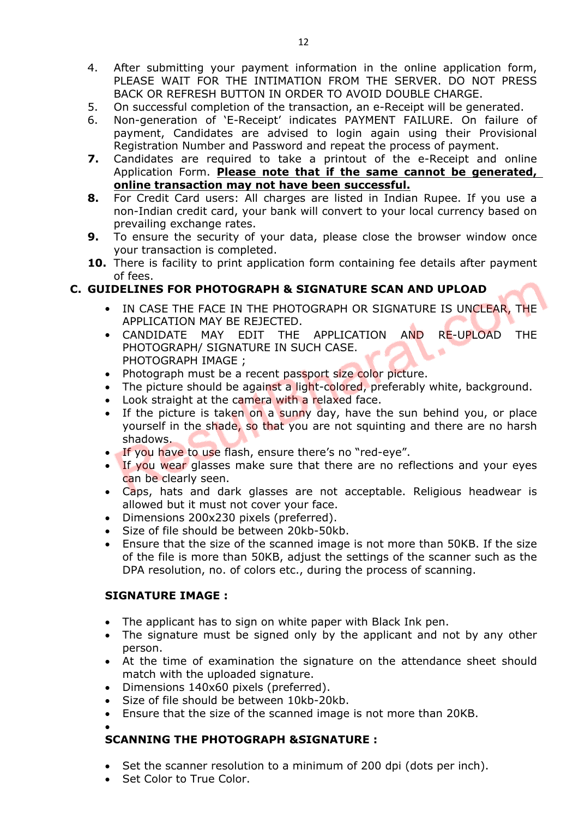- 4. After submitting your payment information in the online application form, PLEASE WAIT FOR THE INTIMATION FROM THE SERVER. DO NOT PRESS BACK OR REFRESH BUTTON IN ORDER TO AVOID DOUBLE CHARGE.
- 5. On successful completion of the transaction, an e-Receipt will be generated.
- 6. Non-generation of 'E-Receipt' indicates PAYMENT FAILURE. On failure of payment, Candidates are advised to login again using their Provisional Registration Number and Password and repeat the process of payment.
- **7.** Candidates are required to take a printout of the e-Receipt and online Application Form. **Please note that if the same cannot be generated, online transaction may not have been successful.**
- **8.** For Credit Card users: All charges are listed in Indian Rupee. If you use a non-Indian credit card, your bank will convert to your local currency based on prevailing exchange rates.
- **9.** To ensure the security of your data, please close the browser window once your transaction is completed.
- **10.** There is facility to print application form containing fee details after payment of fees.

## **C. GUIDELINES FOR PHOTOGRAPH & SIGNATURE SCAN AND UPLOAD**

- IN CASE THE FACE IN THE PHOTOGRAPH OR SIGNATURE IS UNCLEAR, THE APPLICATION MAY BE REJECTED.
- CANDIDATE MAY EDIT THE APPLICATION AND RE-UPLOAD THE PHOTOGRAPH/ SIGNATURE IN SUCH CASE. a. PHOTOGRAPH IMAGE ;
- Photograph must be a recent passport size color picture.
- The picture should be against a light-colored, preferably white, background.
- Look straight at the camera with a relaxed face.
- If the picture is taken on a sunny day, have the sun behind you, or place yourself in the shade, so that you are not squinting and there are no harsh shadows.
- If you have to use flash, ensure there's no "red-eye".
- If you wear glasses make sure that there are no reflections and your eyes can be clearly seen.
- Caps, hats and dark glasses are not acceptable. Religious headwear is allowed but it must not cover your face.
- Dimensions 200x230 pixels (preferred).
- Size of file should be between 20kb-50kb.
- Ensure that the size of the scanned image is not more than 50KB. If the size of the file is more than 50KB, adjust the settings of the scanner such as the DPA resolution, no. of colors etc., during the process of scanning.

## **SIGNATURE IMAGE :**

- The applicant has to sign on white paper with Black Ink pen.
- The signature must be signed only by the applicant and not by any other person.
- At the time of examination the signature on the attendance sheet should match with the uploaded signature.
- Dimensions 140x60 pixels (preferred).
- Size of file should be between 10kb-20kb.
- Ensure that the size of the scanned image is not more than 20KB.
- $\bullet$

## **SCANNING THE PHOTOGRAPH &SIGNATURE :**

- Set the scanner resolution to a minimum of 200 dpi (dots per inch).
- Set Color to True Color.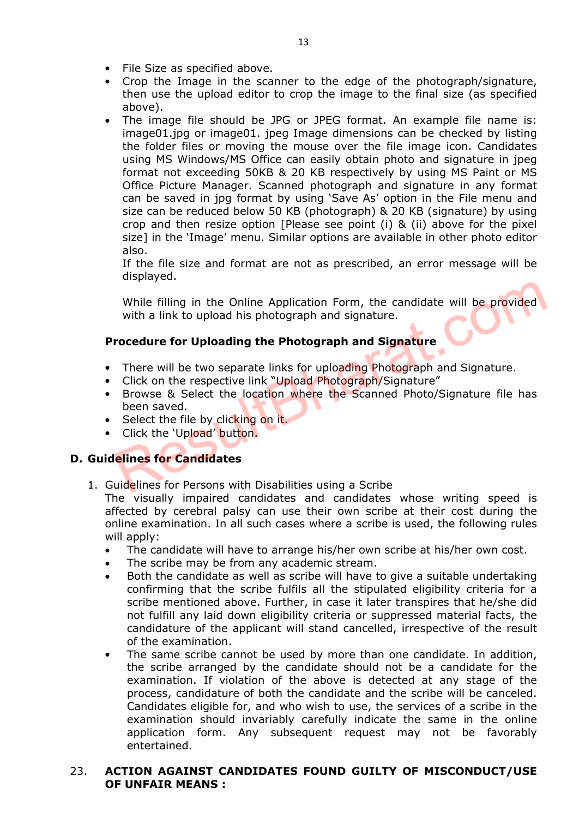- File Size as specified above.
- Crop the Image in the scanner to the edge of the photograph/signature, then use the upload editor to crop the image to the final size (as specified above).
- The image file should be JPG or JPEG format. An example file name is: image01.jpg or image01. jpeg Image dimensions can be checked by listing the folder files or moving the mouse over the file image icon. Candidates using MS Windows/MS Office can easily obtain photo and signature in jpeg format not exceeding 50KB & 20 KB respectively by using MS Paint or MS Office Picture Manager. Scanned photograph and signature in any format can be saved in jpg format by using 'Save As' option in the File menu and size can be reduced below 50 KB (photograph) & 20 KB (signature) by using crop and then resize option [Please see point (i) & (ii) above for the pixel size] in the 'Image' menu. Similar options are available in other photo editor also.

If the file size and format are not as prescribed, an error message will be displayed.

While filling in the Online Application Form, the candidate will be provided with a link to upload his photograph and signature.

## **Procedure for Uploading the Photograph and Signature**

- There will be two separate links for uploading Photograph and Signature.
- Click on the respective link "Upload Photograph/Signature"
- Browse & Select the location where the Scanned Photo/Signature file has been saved.
- Select the file by clicking on it.
- Click the 'Upload' button.

## **D. Guidelines for Candidates**

1. Guidelines for Persons with Disabilities using a Scribe

The visually impaired candidates and candidates whose writing speed is affected by cerebral palsy can use their own scribe at their cost during the online examination. In all such cases where a scribe is used, the following rules will apply:

- The candidate will have to arrange his/her own scribe at his/her own cost.
- The scribe may be from any academic stream.
- Both the candidate as well as scribe will have to give a suitable undertaking confirming that the scribe fulfils all the stipulated eligibility criteria for a scribe mentioned above. Further, in case it later transpires that he/she did not fulfill any laid down eligibility criteria or suppressed material facts, the candidature of the applicant will stand cancelled, irrespective of the result of the examination.
- The same scribe cannot be used by more than one candidate. In addition, the scribe arranged by the candidate should not be a candidate for the examination. If violation of the above is detected at any stage of the process, candidature of both the candidate and the scribe will be canceled. Candidates eligible for, and who wish to use, the services of a scribe in the examination should invariably carefully indicate the same in the online application form. Any subsequent request may not be favorably entertained.

#### 23. **ACTION AGAINST CANDIDATES FOUND GUILTY OF MISCONDUCT/USE OF UNFAIR MEANS :**